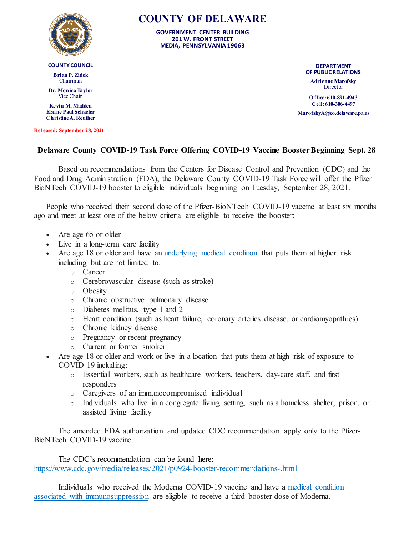

**COUNTY COUNCIL**

**Brian P. Zidek** Chairman

**Dr. Monica Taylor** Vice Chair

**Kevin M. Madden Elaine Paul Schaefer Christine A. Reuther**

**Released: September 28, 2021**

## **COUNTY OF DELAWARE**

**GOVERNMENT CENTER BUILDING 201 W. FRONT STREET MEDIA, PENNSYLVANIA 19063**

> **DEPARTMENT OF PUBLIC RELATIONS**

**Adrienne Marofsky** Director

**O ffice: 610-891-4943 Cell: 610-306-4497 MarofskyA@co.delaware.pa.us**

## **Delaware County COVID-19 Task Force Offering COVID-19 Vaccine Booster Beginning Sept. 28**

Based on recommendations from the Centers for Disease Control and Prevention (CDC) and the Food and Drug Administration (FDA), the Delaware County COVID-19 Task Force will offer the Pfizer BioNTech COVID-19 booster to eligible individuals beginning on Tuesday, September 28, 2021.

People who received their second dose of the Pfizer-BioNTech COVID-19 vaccine at least six months ago and meet at least one of the below criteria are eligible to receive the booster:

- Are age 65 or older
- Live in a long-term care facility
- Are age 18 or older and have an [underlying medical condition](https://www.cdc.gov/coronavirus/2019-ncov/hcp/clinical-care/underlyingconditions.html) that puts them at higher risk including but are not limited to:
	- o Cancer
	- o Cerebrovascular disease (such as stroke)
	- o Obesity
	- o Chronic obstructive pulmonary disease
	- o Diabetes mellitus, type 1 and 2
	- o Heart condition (such as heart failure, coronary arteries disease, or cardiomyopathies)
	- o Chronic kidney disease
	- o Pregnancy or recent pregnancy
	- o Current or former smoker
- Are age 18 or older and work or live in a location that puts them at high risk of exposure to COVID-19 including:
	- o Essential workers, such as healthcare workers, teachers, day-care staff, and first responders
	- o Caregivers of an immunocompromised individual
	- o Individuals who live in a congregate living setting, such as a homeless shelter, prison, or assisted living facility

The amended FDA authorization and updated CDC recommendation apply only to the Pfizer-BioNTech COVID-19 vaccine.

The CDC's recommendation can be found here: <https://www.cdc.gov/media/releases/2021/p0924-booster-recommendations-.html>

Individuals who received the Moderna COVID-19 vaccine and have a [medical condition](https://www.hopkinsmedicine.org/coronavirus/covid-19-vaccine/covid-vaccine-third-doses.html)  [associated with immunosuppression](https://www.hopkinsmedicine.org/coronavirus/covid-19-vaccine/covid-vaccine-third-doses.html) are eligible to receive a third booster dose of Moderna.